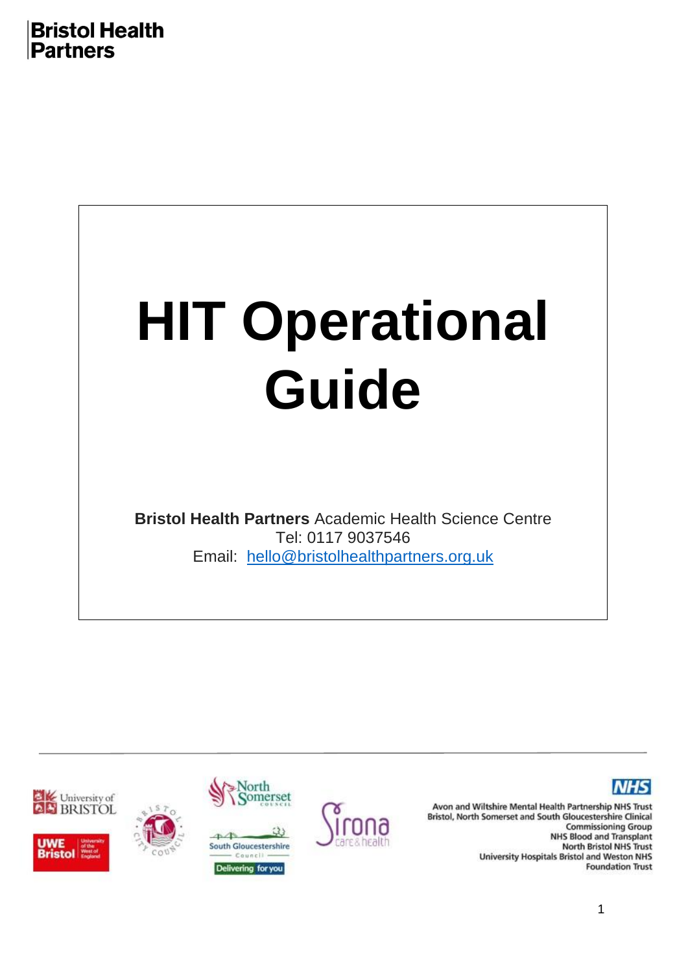

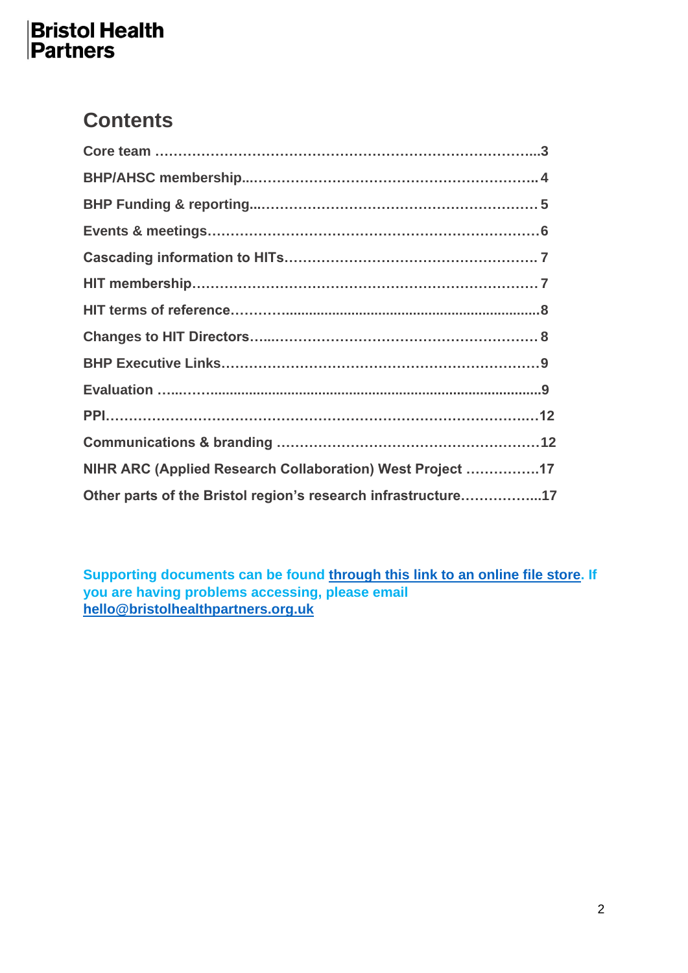## **Contents**

| NIHR ARC (Applied Research Collaboration) West Project 17     |  |
|---------------------------------------------------------------|--|
| Other parts of the Bristol region's research infrastructure17 |  |

**Supporting documents can be found through this link [to an online file store.](https://uob-my.sharepoint.com/:f:/g/personal/ow8888_bristol_ac_uk/EoQ-J8mMEnJPv5cN75DrWlAB2vAtLN0wsG2EBuLQZYlSIg?e=AFFtQC) If you are having problems accessing, please email [hello@bristolhealthpartners.org.uk](mailto:hello@bristolhealthpartners.org.uk)**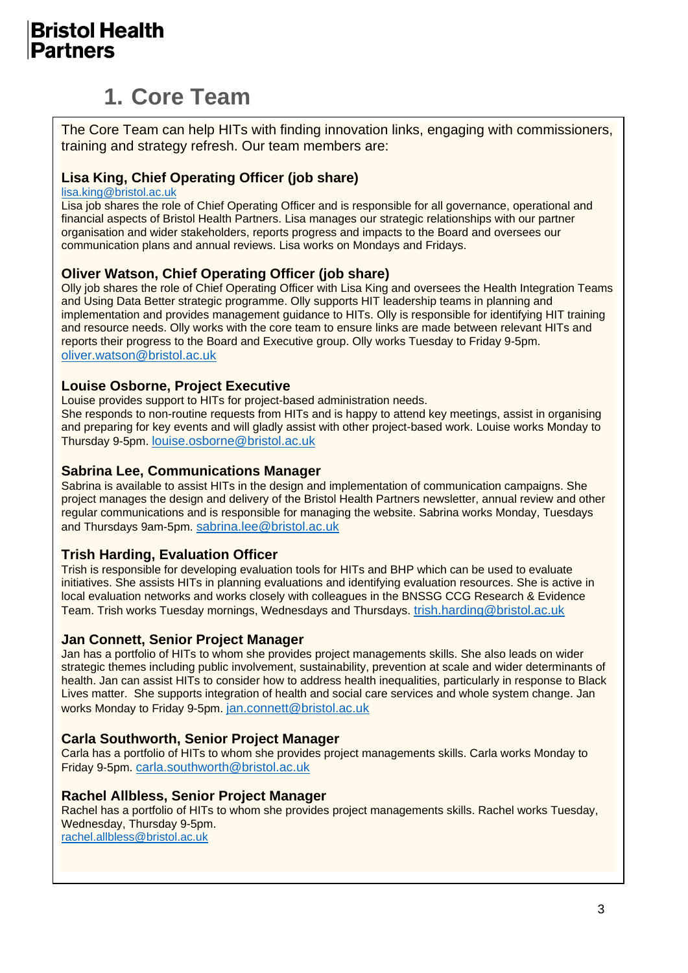# **1. Core Team**

The Core Team can help HITs with finding innovation links, engaging with commissioners, training and strategy refresh. Our team members are:

#### **Lisa King, Chief Operating Officer (job share)**

[lisa.king@bristol.ac.uk](mailto:lisa.king@bristol.ac.uk)

Lisa job shares the role of Chief Operating Officer and is responsible for all governance, operational and financial aspects of Bristol Health Partners. Lisa manages our strategic relationships with our partner organisation and wider stakeholders, reports progress and impacts to the Board and oversees our communication plans and annual reviews. Lisa works on Mondays and Fridays.

#### **Oliver Watson, Chief Operating Officer (job share)**

Olly job shares the role of Chief Operating Officer with Lisa King and oversees the Health Integration Teams and Using Data Better strategic programme. Olly supports HIT leadership teams in planning and implementation and provides management guidance to HITs. Olly is responsible for identifying HIT training and resource needs. Olly works with the core team to ensure links are made between relevant HITs and reports their progress to the Board and Executive group. Olly works Tuesday to Friday 9-5pm. [oliver.watson@bristol.ac.uk](mailto:oliver.watson@bristol.ac.uk)

#### **Louise Osborne, Project Executive**

Louise provides support to HITs for project-based administration needs.

She responds to non-routine requests from HITs and is happy to attend key meetings, assist in organising and preparing for key events and will gladly assist with other project-based work. Louise works Monday to Thursday 9-5pm. [louise.osborne@bristol.ac.uk](mailto:louise.osborne@bristol.ac.uk)

#### **Sabrina Lee, Communications Manager**

Sabrina is available to assist HITs in the design and implementation of communication campaigns. She project manages the design and delivery of the Bristol Health Partners newsletter, annual review and other regular communications and is responsible for managing the website. Sabrina works Monday, Tuesdays and Thursdays 9am-5pm. [sabrina.lee@bristol.ac.uk](mailto:sabrina.lee@bristol.ac.uk)

#### **Trish Harding, Evaluation Officer**

Trish is responsible for developing evaluation tools for HITs and BHP which can be used to evaluate initiatives. She assists HITs in planning evaluations and identifying evaluation resources. She is active in local evaluation networks and works closely with colleagues in the BNSSG CCG Research & Evidence Team. Trish works Tuesday mornings, Wednesdays and Thursdays. [trish.harding@bristol.ac.uk](mailto:trish.harding@bristol.ac.uk)

#### **Jan Connett, Senior Project Manager**

Jan has a portfolio of HITs to whom she provides project managements skills. She also leads on wider strategic themes including public involvement, sustainability, prevention at scale and wider determinants of health. Jan can assist HITs to consider how to address health inequalities, particularly in response to Black Lives matter. She supports integration of health and social care services and whole system change. Jan works Monday to Friday 9-5pm. [jan.connett@bristol.ac.uk](mailto:jan.connett@bristol.ac.uk)

#### **Carla Southworth, Senior Project Manager**

Carla has a portfolio of HITs to whom she provides project managements skills. Carla works Monday to Friday 9-5pm. [carla.southworth@bristol.ac.uk](mailto:carla.southworth@bristol.ac.uk)

#### **Rachel Allbless, Senior Project Manager**

Rachel has a portfolio of HITs to whom she provides project managements skills. Rachel works Tuesday, Wednesday, Thursday 9-5pm.

[rachel.allbless@bristol.ac.uk](mailto:rachel.allbless@bristol.ac.uk)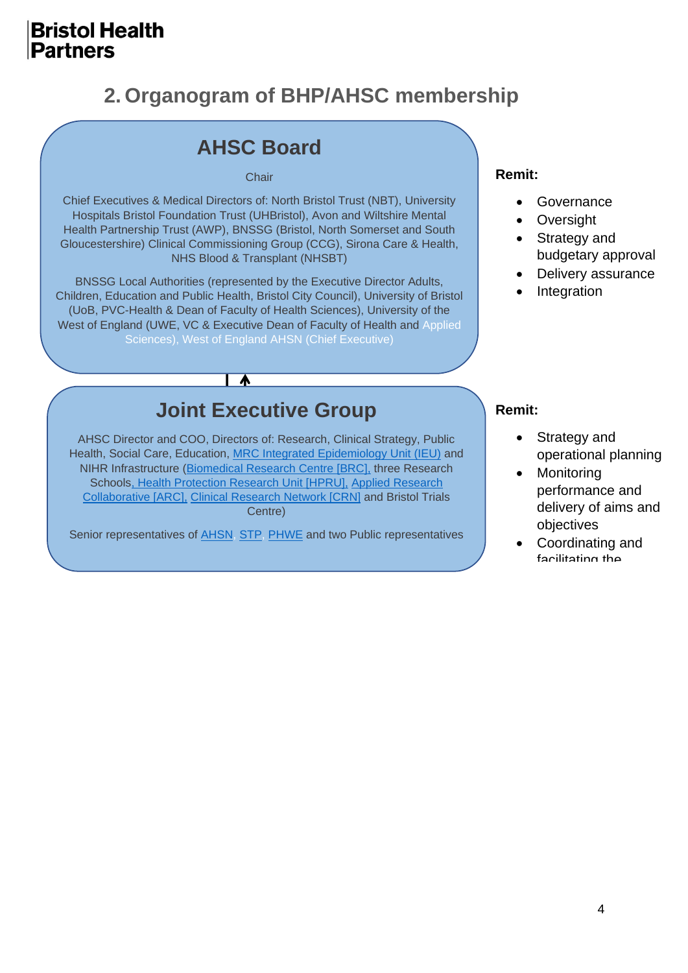## **2. Organogram of BHP/AHSC membership**

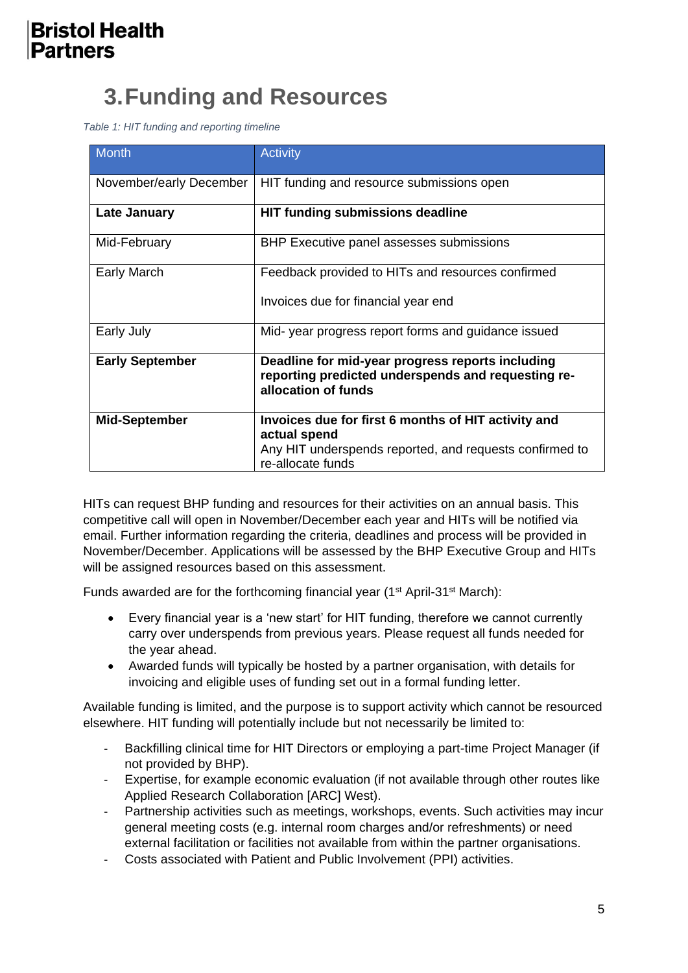# **3.Funding and Resources**

*Table 1: HIT funding and reporting timeline*

| <b>Month</b>            | <b>Activity</b>                                                                                                                                     |
|-------------------------|-----------------------------------------------------------------------------------------------------------------------------------------------------|
| November/early December | HIT funding and resource submissions open                                                                                                           |
| Late January            | HIT funding submissions deadline                                                                                                                    |
| Mid-February            | BHP Executive panel assesses submissions                                                                                                            |
| Early March             | Feedback provided to HITs and resources confirmed<br>Invoices due for financial year end                                                            |
| Early July              | Mid-year progress report forms and guidance issued                                                                                                  |
| <b>Early September</b>  | Deadline for mid-year progress reports including<br>reporting predicted underspends and requesting re-<br>allocation of funds                       |
| <b>Mid-September</b>    | Invoices due for first 6 months of HIT activity and<br>actual spend<br>Any HIT underspends reported, and requests confirmed to<br>re-allocate funds |

HITs can request BHP funding and resources for their activities on an annual basis. This competitive call will open in November/December each year and HITs will be notified via email. Further information regarding the criteria, deadlines and process will be provided in November/December. Applications will be assessed by the BHP Executive Group and HITs will be assigned resources based on this assessment.

Funds awarded are for the forthcoming financial year ( $1<sup>st</sup>$  April-31 $<sup>st</sup>$  March):</sup>

- Every financial year is a 'new start' for HIT funding, therefore we cannot currently carry over underspends from previous years. Please request all funds needed for the year ahead.
- Awarded funds will typically be hosted by a partner organisation, with details for invoicing and eligible uses of funding set out in a formal funding letter.

Available funding is limited, and the purpose is to support activity which cannot be resourced elsewhere. HIT funding will potentially include but not necessarily be limited to:

- Backfilling clinical time for HIT Directors or employing a part-time Project Manager (if not provided by BHP).
- Expertise, for example economic evaluation (if not available through other routes like Applied Research Collaboration [ARC] West).
- Partnership activities such as meetings, workshops, events. Such activities may incur general meeting costs (e.g. internal room charges and/or refreshments) or need external facilitation or facilities not available from within the partner organisations.
- Costs associated with Patient and Public Involvement (PPI) activities.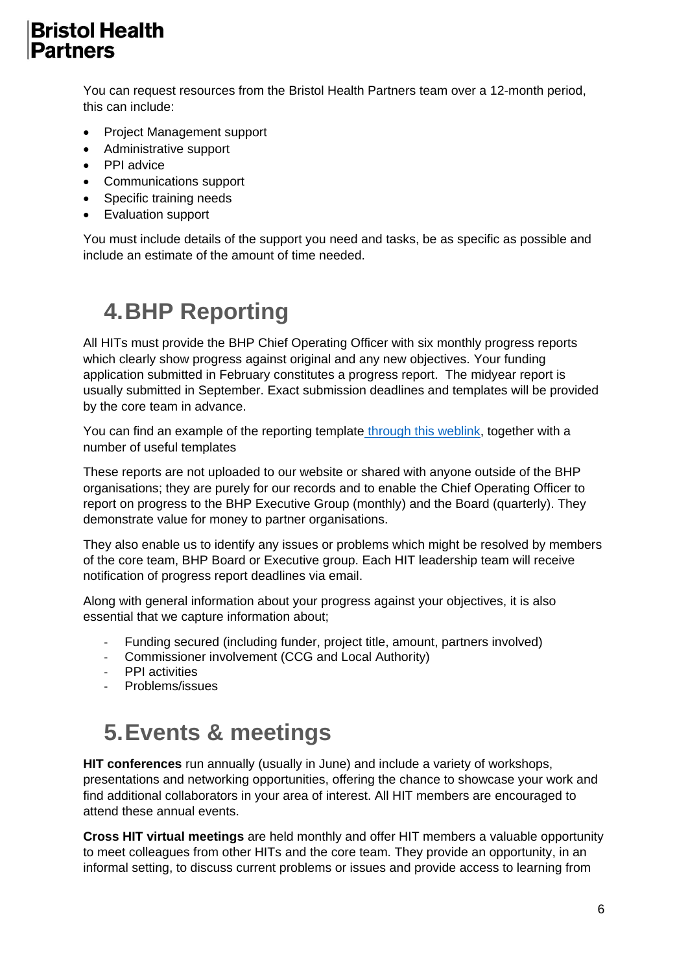You can request resources from the Bristol Health Partners team over a 12-month period, this can include:

- Project Management support
- Administrative support
- PPI advice
- Communications support
- Specific training needs
- Evaluation support

You must include details of the support you need and tasks, be as specific as possible and include an estimate of the amount of time needed.

# **4.BHP Reporting**

All HITs must provide the BHP Chief Operating Officer with six monthly progress reports which clearly show progress against original and any new objectives. Your funding application submitted in February constitutes a progress report. The midyear report is usually submitted in September. Exact submission deadlines and templates will be provided by the core team in advance.

You can find an example of the reporting template [through this weblink,](https://uob-my.sharepoint.com/:f:/g/personal/ow8888_bristol_ac_uk/EoQ-J8mMEnJPv5cN75DrWlAB2vAtLN0wsG2EBuLQZYlSIg?e=AFFtQC) together with a number of useful templates

These reports are not uploaded to our website or shared with anyone outside of the BHP organisations; they are purely for our records and to enable the Chief Operating Officer to report on progress to the BHP Executive Group (monthly) and the Board (quarterly). They demonstrate value for money to partner organisations.

They also enable us to identify any issues or problems which might be resolved by members of the core team, BHP Board or Executive group. Each HIT leadership team will receive notification of progress report deadlines via email.

Along with general information about your progress against your objectives, it is also essential that we capture information about;

- Funding secured (including funder, project title, amount, partners involved)
- Commissioner involvement (CCG and Local Authority)
- PPI activities
- Problems/issues

# **5.Events & meetings**

**HIT conferences** run annually (usually in June) and include a variety of workshops, presentations and networking opportunities, offering the chance to showcase your work and find additional collaborators in your area of interest. All HIT members are encouraged to attend these annual events.

**Cross HIT virtual meetings** are held monthly and offer HIT members a valuable opportunity to meet colleagues from other HITs and the core team. They provide an opportunity, in an informal setting, to discuss current problems or issues and provide access to learning from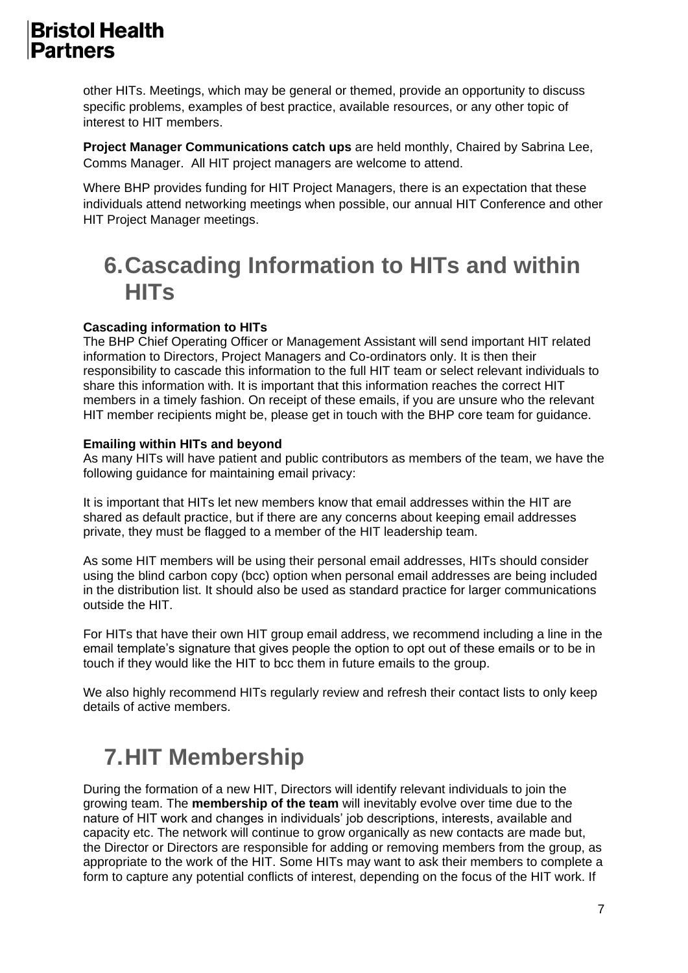other HITs. Meetings, which may be general or themed, provide an opportunity to discuss specific problems, examples of best practice, available resources, or any other topic of interest to HIT members.

**Project Manager Communications catch ups** are held monthly, Chaired by Sabrina Lee, Comms Manager. All HIT project managers are welcome to attend.

Where BHP provides funding for HIT Project Managers, there is an expectation that these individuals attend networking meetings when possible, our annual HIT Conference and other HIT Project Manager meetings.

# **6.Cascading Information to HITs and within HITs**

#### **Cascading information to HITs**

The BHP Chief Operating Officer or Management Assistant will send important HIT related information to Directors, Project Managers and Co-ordinators only. It is then their responsibility to cascade this information to the full HIT team or select relevant individuals to share this information with. It is important that this information reaches the correct HIT members in a timely fashion. On receipt of these emails, if you are unsure who the relevant HIT member recipients might be, please get in touch with the BHP core team for guidance.

#### **Emailing within HITs and beyond**

As many HITs will have patient and public contributors as members of the team, we have the following guidance for maintaining email privacy:

It is important that HITs let new members know that email addresses within the HIT are shared as default practice, but if there are any concerns about keeping email addresses private, they must be flagged to a member of the HIT leadership team.

As some HIT members will be using their personal email addresses, HITs should consider using the blind carbon copy (bcc) option when personal email addresses are being included in the distribution list. It should also be used as standard practice for larger communications outside the HIT.

For HITs that have their own HIT group email address, we recommend including a line in the email template's signature that gives people the option to opt out of these emails or to be in touch if they would like the HIT to bcc them in future emails to the group.

We also highly recommend HITs regularly review and refresh their contact lists to only keep details of active members.

# **7.HIT Membership**

During the formation of a new HIT, Directors will identify relevant individuals to join the growing team. The **membership of the team** will inevitably evolve over time due to the nature of HIT work and changes in individuals' job descriptions, interests, available and capacity etc. The network will continue to grow organically as new contacts are made but, the Director or Directors are responsible for adding or removing members from the group, as appropriate to the work of the HIT. Some HITs may want to ask their members to complete a form to capture any potential conflicts of interest, depending on the focus of the HIT work. If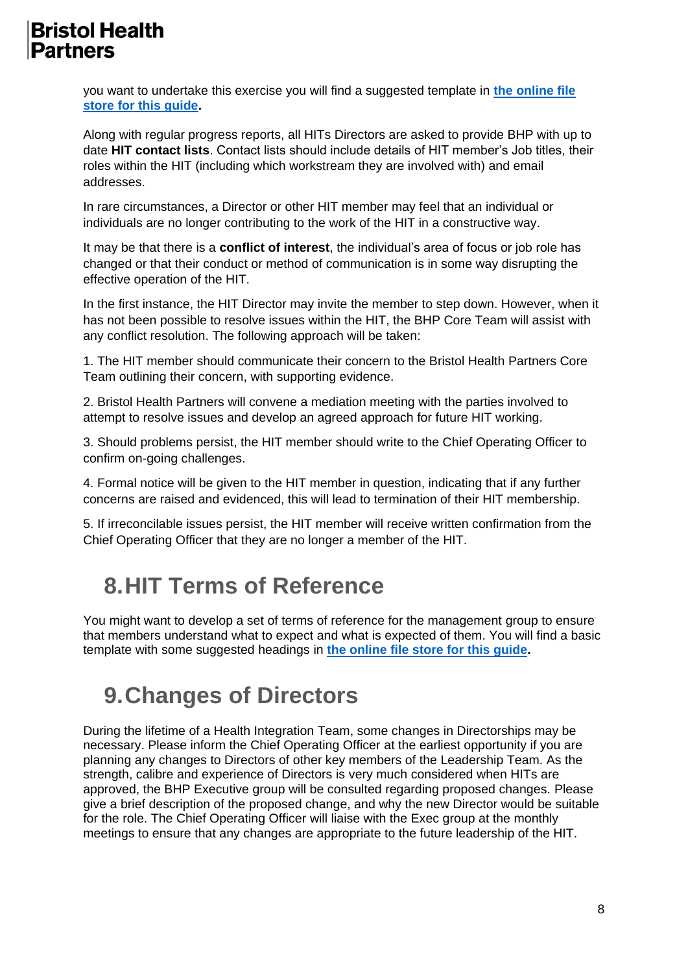you want to undertake this exercise you will find a suggested template in **[the online file](https://uob-my.sharepoint.com/:f:/g/personal/ow8888_bristol_ac_uk/EoQ-J8mMEnJPv5cN75DrWlAB2vAtLN0wsG2EBuLQZYlSIg?e=AFFtQC)  [store for this guide.](https://uob-my.sharepoint.com/:f:/g/personal/ow8888_bristol_ac_uk/EoQ-J8mMEnJPv5cN75DrWlAB2vAtLN0wsG2EBuLQZYlSIg?e=AFFtQC)**

Along with regular progress reports, all HITs Directors are asked to provide BHP with up to date **HIT contact lists**. Contact lists should include details of HIT member's Job titles, their roles within the HIT (including which workstream they are involved with) and email addresses.

In rare circumstances, a Director or other HIT member may feel that an individual or individuals are no longer contributing to the work of the HIT in a constructive way.

It may be that there is a **conflict of interest**, the individual's area of focus or job role has changed or that their conduct or method of communication is in some way disrupting the effective operation of the HIT.

In the first instance, the HIT Director may invite the member to step down. However, when it has not been possible to resolve issues within the HIT, the BHP Core Team will assist with any conflict resolution. The following approach will be taken:

1. The HIT member should communicate their concern to the Bristol Health Partners Core Team outlining their concern, with supporting evidence.

2. Bristol Health Partners will convene a mediation meeting with the parties involved to attempt to resolve issues and develop an agreed approach for future HIT working.

3. Should problems persist, the HIT member should write to the Chief Operating Officer to confirm on-going challenges.

4. Formal notice will be given to the HIT member in question, indicating that if any further concerns are raised and evidenced, this will lead to termination of their HIT membership.

5. If irreconcilable issues persist, the HIT member will receive written confirmation from the Chief Operating Officer that they are no longer a member of the HIT.

# **8.HIT Terms of Reference**

You might want to develop a set of terms of reference for the management group to ensure that members understand what to expect and what is expected of them. You will find a basic template with some suggested headings in **[the online file store for this guide.](https://uob-my.sharepoint.com/:f:/g/personal/ow8888_bristol_ac_uk/EoQ-J8mMEnJPv5cN75DrWlAB2vAtLN0wsG2EBuLQZYlSIg?e=AFFtQC)**

# **9.Changes of Directors**

During the lifetime of a Health Integration Team, some changes in Directorships may be necessary. Please inform the Chief Operating Officer at the earliest opportunity if you are planning any changes to Directors of other key members of the Leadership Team. As the strength, calibre and experience of Directors is very much considered when HITs are approved, the BHP Executive group will be consulted regarding proposed changes. Please give a brief description of the proposed change, and why the new Director would be suitable for the role. The Chief Operating Officer will liaise with the Exec group at the monthly meetings to ensure that any changes are appropriate to the future leadership of the HIT.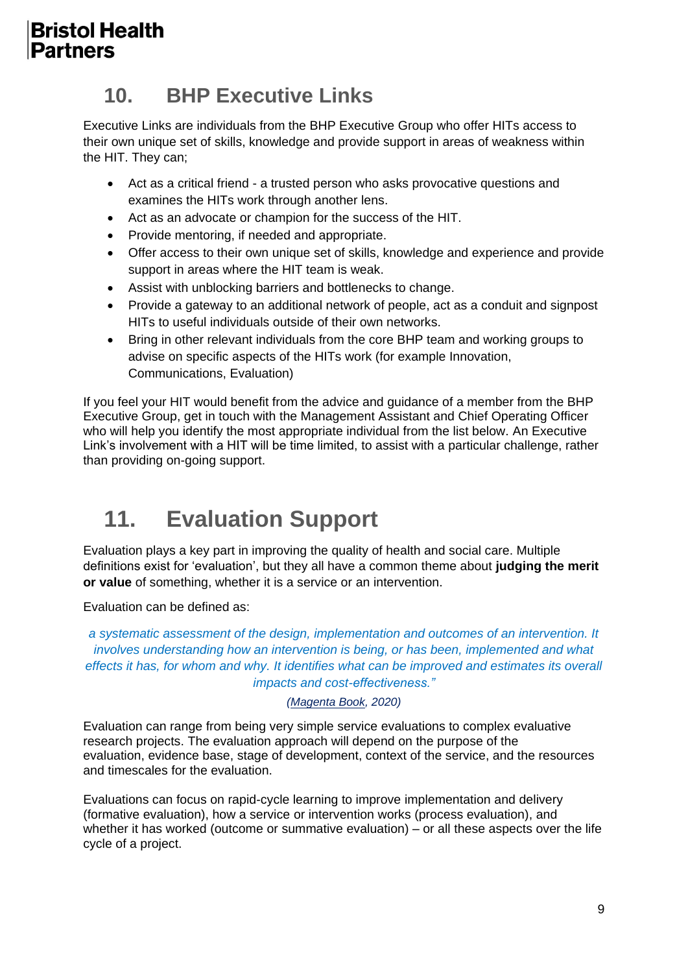## **10. BHP Executive Links**

Executive Links are individuals from the BHP Executive Group who offer HITs access to their own unique set of skills, knowledge and provide support in areas of weakness within the HIT. They can;

- Act as a critical friend a trusted person who asks provocative questions and examines the HITs work through another lens.
- Act as an advocate or champion for the success of the HIT.
- Provide mentoring, if needed and appropriate.
- Offer access to their own unique set of skills, knowledge and experience and provide support in areas where the HIT team is weak.
- Assist with unblocking barriers and bottlenecks to change.
- Provide a gateway to an additional network of people, act as a conduit and signpost HITs to useful individuals outside of their own networks.
- Bring in other relevant individuals from the core BHP team and working groups to advise on specific aspects of the HITs work (for example Innovation, Communications, Evaluation)

If you feel your HIT would benefit from the advice and guidance of a member from the BHP Executive Group, get in touch with the Management Assistant and Chief Operating Officer who will help you identify the most appropriate individual from the list below. An Executive Link's involvement with a HIT will be time limited, to assist with a particular challenge, rather than providing on-going support.

# **11. Evaluation Support**

Evaluation plays a key part in improving the quality of health and social care. Multiple definitions exist for 'evaluation', but they all have a common theme about **judging the merit or value** of something, whether it is a service or an intervention.

Evaluation can be defined as:

*a systematic assessment of the design, implementation and outcomes of an intervention. It involves understanding how an intervention is being, or has been, implemented and what effects it has, for whom and why. It identifies what can be improved and estimates its overall impacts and cost-effectiveness."*

#### *(Magenta Book, 2020)*

Evaluation can range from being very simple service evaluations to complex evaluative research projects. The evaluation approach will depend on the purpose of the evaluation, evidence base, stage of development, context of the service, and the resources and timescales for the evaluation.

Evaluations can focus on rapid-cycle learning to improve implementation and delivery (formative evaluation), how a service or intervention works (process evaluation), and whether it has worked (outcome or summative evaluation) – or all these aspects over the life cycle of a project.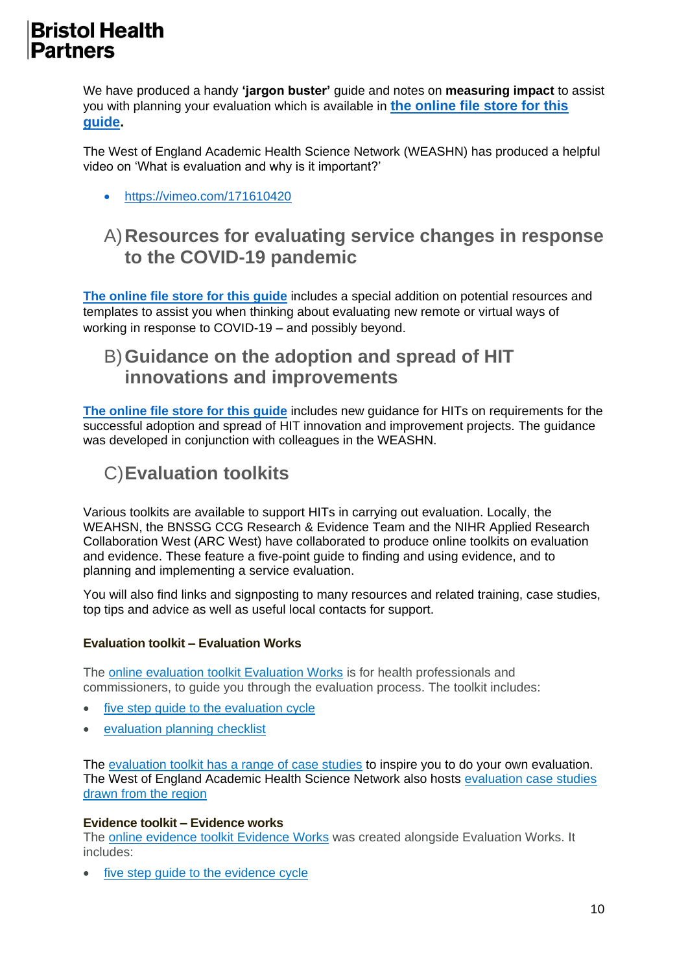We have produced a handy **'jargon buster'** guide and notes on **measuring impact** to assist you with planning your evaluation which is available in **[the online file store for this](https://uob-my.sharepoint.com/:f:/g/personal/ow8888_bristol_ac_uk/EoQ-J8mMEnJPv5cN75DrWlAB2vAtLN0wsG2EBuLQZYlSIg?e=AFFtQC)  [guide.](https://uob-my.sharepoint.com/:f:/g/personal/ow8888_bristol_ac_uk/EoQ-J8mMEnJPv5cN75DrWlAB2vAtLN0wsG2EBuLQZYlSIg?e=AFFtQC)**

The West of England Academic Health Science Network (WEASHN) has produced a helpful video on 'What is evaluation and why is it important?'

• <https://vimeo.com/171610420>

#### A)**Resources for evaluating service changes in response to the COVID-19 pandemic**

**[The online file store for this guide](https://uob-my.sharepoint.com/:f:/g/personal/ow8888_bristol_ac_uk/EoQ-J8mMEnJPv5cN75DrWlAB2vAtLN0wsG2EBuLQZYlSIg?e=AFFtQC)** includes a special addition on potential resources and templates to assist you when thinking about evaluating new remote or virtual ways of working in response to COVID-19 – and possibly beyond.

#### B)**Guidance on the adoption and spread of HIT innovations and improvements**

**[The online file store for this guide](https://uob-my.sharepoint.com/:f:/g/personal/ow8888_bristol_ac_uk/EoQ-J8mMEnJPv5cN75DrWlAB2vAtLN0wsG2EBuLQZYlSIg?e=AFFtQC)** includes new guidance for HITs on requirements for the successful adoption and spread of HIT innovation and improvement projects. The guidance was developed in conjunction with colleagues in the WEASHN.

#### C)**Evaluation toolkits**

Various toolkits are available to support HITs in carrying out evaluation. Locally, the WEAHSN, the BNSSG CCG Research & Evidence Team and the NIHR Applied Research Collaboration West (ARC West) have collaborated to produce online toolkits on evaluation and evidence. These feature a five-point guide to finding and using evidence, and to planning and implementing a service evaluation.

You will also find links and signposting to many resources and related training, case studies, top tips and advice as well as useful local contacts for support.

#### **Evaluation toolkit – Evaluation Works**

The online evaluation toolkit [Evaluation](http://www.nhsevaluationtoolkit.net/) Works is for health professionals and commissioners, to guide you through the evaluation process. The toolkit includes:

- five step quide to the [evaluation](http://www.nhsevaluationtoolkit.net/evaluation-cycle/) cycle
- [evaluation](http://www.nhsevaluationtoolkit.net/checklist/) planning checklist

The [evaluation](http://www.nhsevaluationtoolkit.net/resources/case-studies/) toolkit has a range of case studies to inspire you to do your own evaluation. The West of England Academic Health Science Network also hosts [evaluation](https://www.weahsn.net/what-we-do/evidence-informed-commissioning/evidence-informed-case-studies/evaluation-case-studies/) case studies drawn from the [region](https://www.weahsn.net/what-we-do/evidence-informed-commissioning/evidence-informed-case-studies/evaluation-case-studies/)

#### **Evidence toolkit – Evidence works**

The online evidence toolkit [Evidence](http://www.nhsevidencetoolkit.net/) Works was created alongside Evaluation Works. It includes:

five step guide to the [evidence](http://www.nhsevidencetoolkit.net/evidence-cycle/) cycle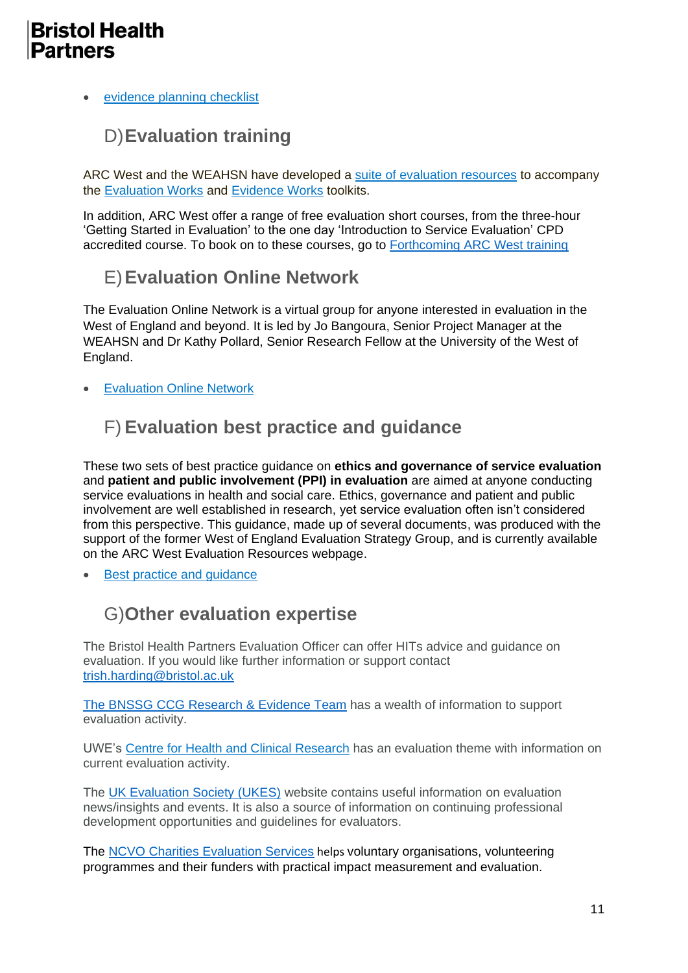#### • [evidence](http://www.nhsevidencetoolkit.net/checklist/) planning checklist

## D)**Evaluation training**

ARC West and the WEAHSN have developed a suite of [evaluation](https://arc-w.nihr.ac.uk/training-and-capacity-building/evaluation-best-practice-and-guidelines/)) resources to accompany the [Evaluation](http://www.nhsevaluationtoolkit.net/) Works and [Evidence](http://www.nhsevidencetoolkit.net/) Works toolkits.

In addition, ARC West offer a range of free evaluation short courses, from the three-hour 'Getting Started in Evaluation' to the one day 'Introduction to Service Evaluation' CPD accredited course. To book on to these courses, go to **[Forthcoming ARC West training](https://arc-w.nihr.ac.uk/training-and-capacity-building/)** 

## E)**Evaluation Online Network**

The Evaluation Online Network is a virtual group for anyone interested in evaluation in the West of England and beyond. It is led by Jo Bangoura, Senior Project Manager at the WEAHSN and Dr Kathy Pollard, Senior Research Fellow at the University of the West of England.

**[Evaluation](https://www.weahsn.net/what-we-do/evidence-informed-commissioning/evaluation/evaluation-online-network/) Online Network** 

#### F) **Evaluation best practice and guidance**

These two sets of best practice guidance on **ethics and governance of service evaluation** and **patient and public involvement (PPI) in evaluation** are aimed at anyone conducting service evaluations in health and social care. Ethics, governance and patient and public involvement are well established in research, yet service evaluation often isn't considered from this perspective. This guidance, made up of several documents, was produced with the support of the former West of England Evaluation Strategy Group, and is currently available on the ARC West Evaluation Resources webpage.

Best practice and quidance

#### G)**Other evaluation expertise**

The Bristol Health Partners Evaluation Officer can offer HITs advice and guidance on evaluation. If you would like further information or support contact [trish.harding@bristol.ac.uk](mailto:trish.harding@bristol.ac.uk)

[The BNSSG CCG Research & Evidence Team](https://bnssgccg.nhs.uk/about-us/what-we-do/research-and-evidence/) has a wealth of information to support evaluation activity.

UWE's Centre for Health and Clinical [Research](http://www1.uwe.ac.uk/hls/research/healthandclinicalresearch/researchareas/evaluation.aspx) has an evaluation theme with information on current evaluation activity.

The [UK Evaluation Society \(UKES\)](https://www.evaluation.org.uk/) website contains useful information on evaluation news/insights and events. It is also a source of information on continuing professional development opportunities and guidelines for evaluators.

The [NCVO Charities Evaluation Services](https://www.ncvo.org.uk/practical-support/consultancy/ncvo-charities-evaluation-services) helps voluntary organisations, volunteering programmes and their funders with practical impact measurement and evaluation.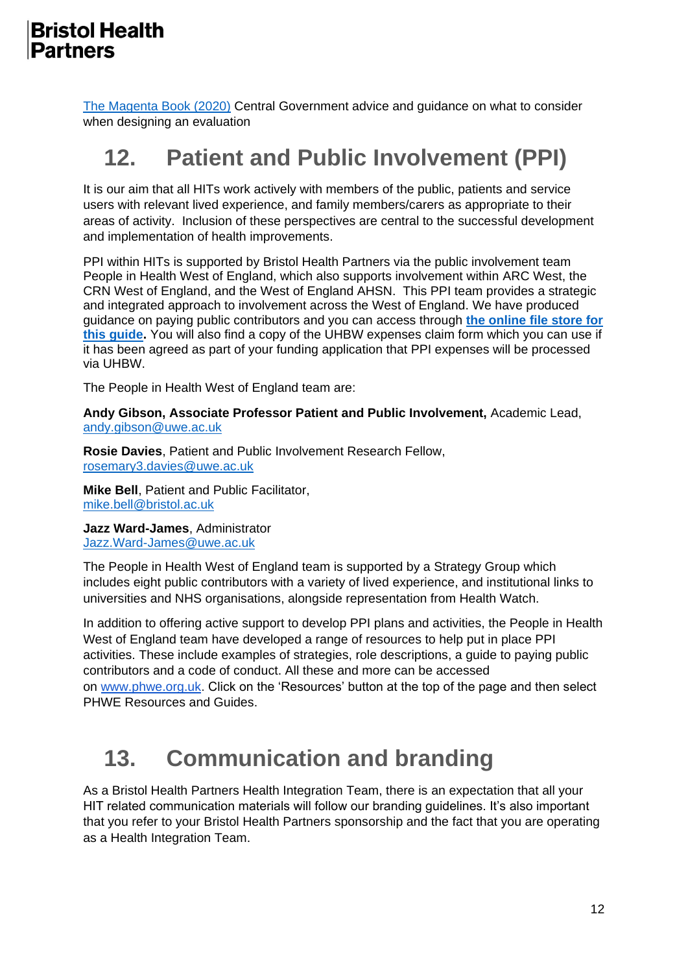[The Magenta Book \(2020\)](https://www.gov.uk/government/publications/the-magenta-book) Central Government advice and guidance on what to consider when designing an evaluation

# **12. Patient and Public Involvement (PPI)**

It is our aim that all HITs work actively with members of the public, patients and service users with relevant lived experience, and family members/carers as appropriate to their areas of activity. Inclusion of these perspectives are central to the successful development and implementation of health improvements.

PPI within HITs is supported by Bristol Health Partners via the public involvement team People in Health West of England, which also supports involvement within ARC West, the CRN West of England, and the West of England AHSN. This PPI team provides a strategic and integrated approach to involvement across the West of England. We have produced guidance on paying public contributors and you can access through **[the online file store for](https://uob-my.sharepoint.com/:f:/g/personal/ow8888_bristol_ac_uk/EoQ-J8mMEnJPv5cN75DrWlAB2vAtLN0wsG2EBuLQZYlSIg?e=AFFtQC)  [this guide.](https://uob-my.sharepoint.com/:f:/g/personal/ow8888_bristol_ac_uk/EoQ-J8mMEnJPv5cN75DrWlAB2vAtLN0wsG2EBuLQZYlSIg?e=AFFtQC)** You will also find a copy of the UHBW expenses claim form which you can use if it has been agreed as part of your funding application that PPI expenses will be processed via UHBW.

The People in Health West of England team are:

**Andy Gibson, Associate Professor Patient and Public Involvement,** Academic Lead, [andy.gibson@uwe.ac.uk](mailto:andy.gibson@uwe.ac.uk)

**Rosie Davies**, Patient and Public Involvement Research Fellow, [rosemary3.davies@uwe.ac.uk](mailto:rosemary3.davies@uwe.ac.uk)

**Mike Bell**, Patient and Public Facilitator, [mike.bell@bristol.ac.uk](mailto:mike.bell@bristol.ac.uk)

**Jazz Ward-James**, Administrator [Jazz.Ward-James@uwe.ac.uk](mailto:Jazz.Ward-James@uwe.ac.uk)

The People in Health West of England team is supported by a Strategy Group which includes eight public contributors with a variety of lived experience, and institutional links to universities and NHS organisations, alongside representation from Health Watch.

In addition to offering active support to develop PPI plans and activities, the People in Health West of England team have developed a range of resources to help put in place PPI activities. These include examples of strategies, role descriptions, a guide to paying public contributors and a code of conduct. All these and more can be accessed on [www.phwe.org.uk.](http://www.phwe.org.uk/) Click on the 'Resources' button at the top of the page and then select PHWE Resources and Guides.

# **13. Communication and branding**

As a Bristol Health Partners Health Integration Team, there is an expectation that all your HIT related communication materials will follow our branding guidelines. It's also important that you refer to your Bristol Health Partners sponsorship and the fact that you are operating as a Health Integration Team.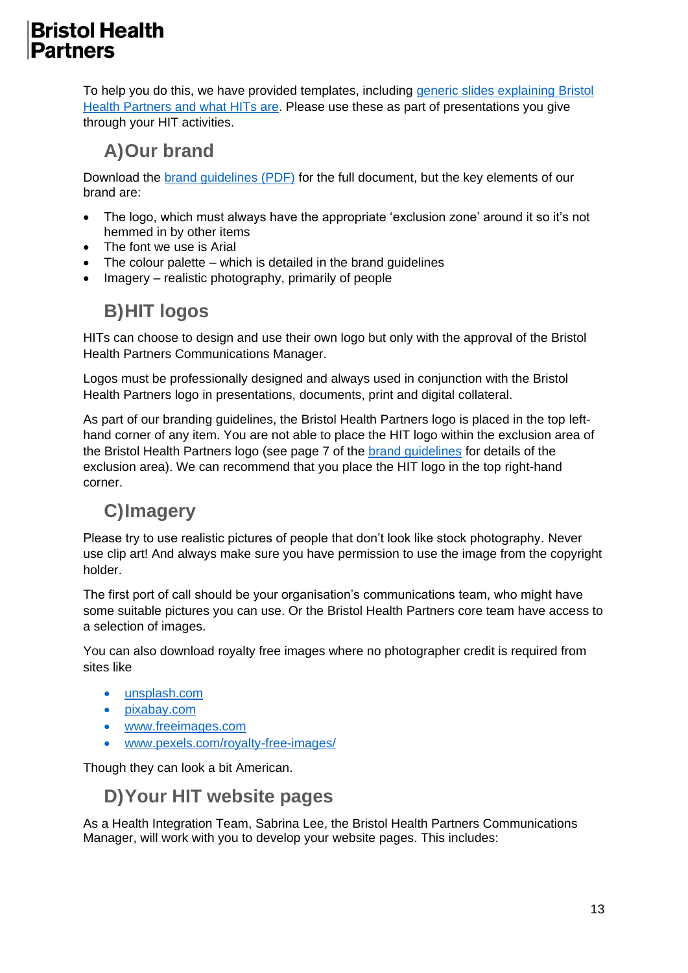To help you do this, we have provided templates, including [generic slides explaining Bristol](http://www.bristolhealthpartners.org.uk/uploads/documents/2019-01-24/1548336667-about-bristol-health-partners-slides-2019.pptx)  [Health Partners and what HITs are.](http://www.bristolhealthpartners.org.uk/uploads/documents/2019-01-24/1548336667-about-bristol-health-partners-slides-2019.pptx) Please use these as part of presentations you give through your HIT activities.

### **A)Our brand**

Download the [brand guidelines \(PDF\)](http://www.bristolhealthpartners.org.uk/uploads/documents/2018-12-20/1545308030-bhp-guidelines-2019-v2.pdf) for the full document, but the key elements of our brand are:

- The logo, which must always have the appropriate 'exclusion zone' around it so it's not hemmed in by other items
- The font we use is Arial
- The colour palette which is detailed in the brand guidelines
- Imagery realistic photography, primarily of people

## **B)HIT logos**

HITs can choose to design and use their own logo but only with the approval of the Bristol Health Partners Communications Manager.

Logos must be professionally designed and always used in conjunction with the Bristol Health Partners logo in presentations, documents, print and digital collateral.

As part of our branding guidelines, the Bristol Health Partners logo is placed in the top lefthand corner of any item. You are not able to place the HIT logo within the exclusion area of the Bristol Health Partners logo (see page 7 of the [brand guidelines](http://www.bristolhealthpartners.org.uk/uploads/documents/2018-12-20/1545308030-bhp-guidelines-2019-v2.pdf) for details of the exclusion area). We can recommend that you place the HIT logo in the top right-hand corner.

## **C)Imagery**

Please try to use realistic pictures of people that don't look like stock photography. Never use clip art! And always make sure you have permission to use the image from the copyright holder.

The first port of call should be your organisation's communications team, who might have some suitable pictures you can use. Or the Bristol Health Partners core team have access to a selection of images.

You can also download royalty free images where no photographer credit is required from sites like

- unsplash.com
- pixabay.com
- [www.freeimages.com](http://www.freeimages.com/)
- [www.pexels.com/royalty-free-images/](https://www.pexels.com/royalty-free-images/)

Though they can look a bit American.

#### **D)Your HIT website pages**

As a Health Integration Team, Sabrina Lee, the Bristol Health Partners Communications Manager, will work with you to develop your website pages. This includes: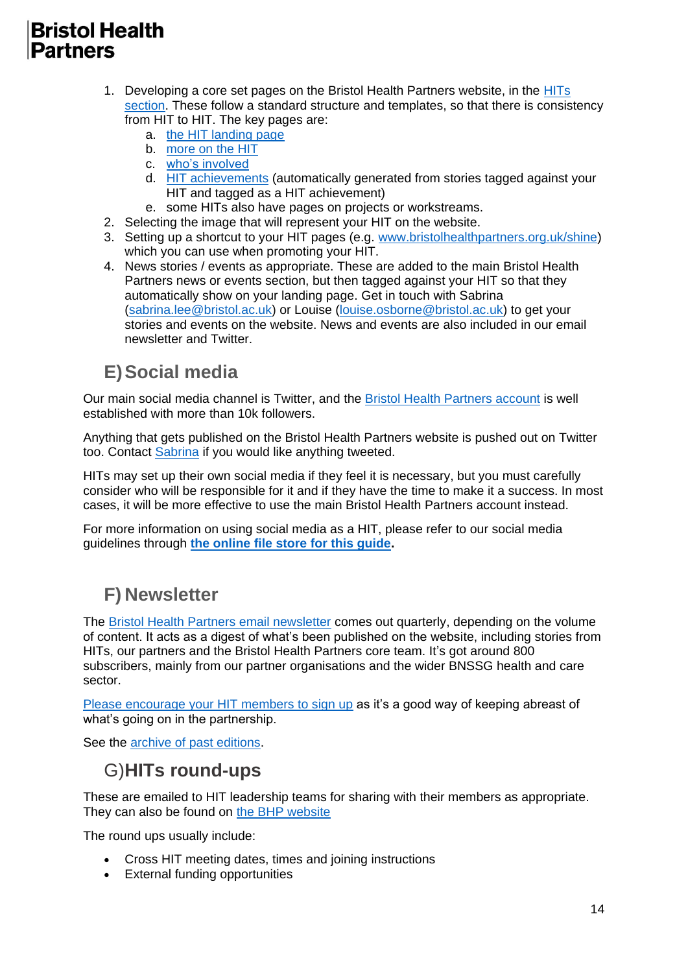- 1. Developing a core set pages on the Bristol Health Partners website, in the [HITs](http://www.bristolhealthpartners.org.uk/health-integration-teams/)  [section.](http://www.bristolhealthpartners.org.uk/health-integration-teams/) These follow a standard structure and templates, so that there is consistency from HIT to HIT. The key pages are:
	- a. [the HIT landing page](http://www.bristolhealthpartners.org.uk/health-integration-teams/active-people-promoting-healthy-life-expectancy-apphle-hit/)
	- b. [more on the HIT](http://www.bristolhealthpartners.org.uk/health-integration-teams/bristol-bones-and-joints/more-about-bristol-bones-and-joints/)
	- c. [who's involved](http://www.bristolhealthpartners.org.uk/health-integration-teams/eating-disorders/whos-involved/)
	- d. [HIT achievements](http://www.bristolhealthpartners.org.uk/health-integration-teams/improving-perinatal-mental-health-hit/hit-achievements/) (automatically generated from stories tagged against your HIT and tagged as a HIT achievement)
	- e. some HITs also have pages on projects or workstreams.
- 2. Selecting the image that will represent your HIT on the website.
- 3. Setting up a shortcut to your HIT pages (e.g. [www.bristolhealthpartners.org.uk/shine\)](http://www.bristolhealthpartners.org.uk/shine) which you can use when promoting your HIT.
- 4. News stories / events as appropriate. These are added to the main Bristol Health Partners news or events section, but then tagged against your HIT so that they automatically show on your landing page. Get in touch with Sabrina [\(sabrina.lee@bristol.ac.uk\)](mailto:sabrina.lee@bristol.ac.uk) or Louise [\(louise.osborne@bristol.ac.uk\)](mailto:louise.osborne@bristol.ac.uk) to get your stories and events on the website. News and events are also included in our email newsletter and Twitter.

## **E)Social media**

Our main social media channel is Twitter, and the [Bristol Health Partners account](https://twitter.com/BristolHealthP) is well established with more than 10k followers.

Anything that gets published on the Bristol Health Partners website is pushed out on Twitter too. Contact [Sabrina](mailto:sabrina.lee@bristol.ac.uk) if you would like anything tweeted.

HITs may set up their own social media if they feel it is necessary, but you must carefully consider who will be responsible for it and if they have the time to make it a success. In most cases, it will be more effective to use the main Bristol Health Partners account instead.

For more information on using social media as a HIT, please refer to our social media guidelines through **[the online file store for this guide.](https://uob-my.sharepoint.com/:f:/g/personal/ow8888_bristol_ac_uk/EoQ-J8mMEnJPv5cN75DrWlAB2vAtLN0wsG2EBuLQZYlSIg?e=AFFtQC)**

## **F) Newsletter**

The [Bristol Health Partners email newsletter](https://mailchi.mp/4fcf9d3f3df1/bristolhealthpartnersnewsletter30-3371821?e=ed826e3966) comes out quarterly, depending on the volume of content. It acts as a digest of what's been published on the website, including stories from HITs, our partners and the Bristol Health Partners core team. It's got around 800 subscribers, mainly from our partner organisations and the wider BNSSG health and care sector.

[Please encourage your HIT members to sign up](http://www.bristolhealthpartners.org.uk/subscribe-to-our-newsletter/) as it's a good way of keeping abreast of what's going on in the partnership.

See the [archive of past editions.](https://us3.campaign-archive.com/home/?u=4499f1a2cb13235427736b0d2&id=45dd9a303d)

#### G)**HITs round-ups**

These are emailed to HIT leadership teams for sharing with their members as appropriate. They can also be found on [the BHP website](https://www.bristolhealthpartners.org.uk/health-integration-teams/hits-round-ups/)

The round ups usually include:

- Cross HIT meeting dates, times and joining instructions
- External funding opportunities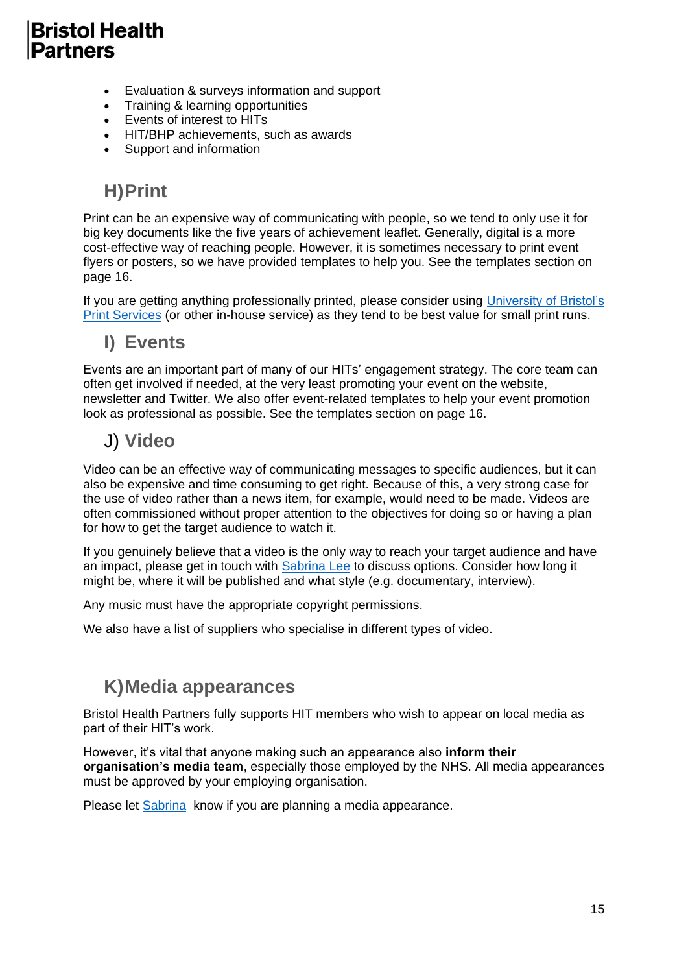- Evaluation & surveys information and support
- Training & learning opportunities
- Events of interest to HITs
- HIT/BHP achievements, such as awards
- Support and information

#### **H)Print**

Print can be an expensive way of communicating with people, so we tend to only use it for big key documents like the five years of achievement leaflet. Generally, digital is a more cost-effective way of reaching people. However, it is sometimes necessary to print event flyers or posters, so we have provided templates to help you. See the templates section on page 16.

If you are getting anything professionally printed, please consider using [University of Bristol's](http://www.bristol.ac.uk/print-services/)  [Print Services](http://www.bristol.ac.uk/print-services/) (or other in-house service) as they tend to be best value for small print runs.

#### **I) Events**

Events are an important part of many of our HITs' engagement strategy. The core team can often get involved if needed, at the very least promoting your event on the website, newsletter and Twitter. We also offer event-related templates to help your event promotion look as professional as possible. See the templates section on page 16.

#### J) **Video**

Video can be an effective way of communicating messages to specific audiences, but it can also be expensive and time consuming to get right. Because of this, a very strong case for the use of video rather than a news item, for example, would need to be made. Videos are often commissioned without proper attention to the objectives for doing so or having a plan for how to get the target audience to watch it.

If you genuinely believe that a video is the only way to reach your target audience and have an impact, please get in touch with [Sabrina Lee](mailto:sabrina.lee@bristol.ac.uk) to discuss options. Consider how long it might be, where it will be published and what style (e.g. documentary, interview).

Any music must have the appropriate copyright permissions.

We also have a list of suppliers who specialise in different types of video.

#### **K)Media appearances**

Bristol Health Partners fully supports HIT members who wish to appear on local media as part of their HIT's work.

However, it's vital that anyone making such an appearance also **inform their organisation's media team**, especially those employed by the NHS. All media appearances must be approved by your employing organisation.

Please let [Sabrina](mailto:sabrina.lee@bristol.ac.uk) know if you are planning a media appearance.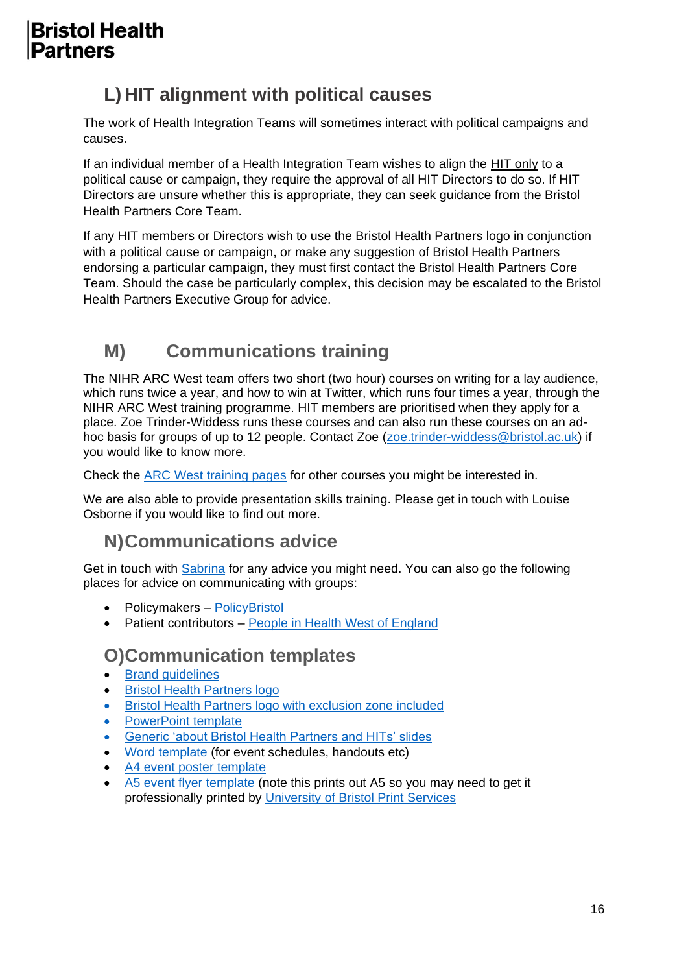## **L) HIT alignment with political causes**

The work of Health Integration Teams will sometimes interact with political campaigns and causes.

If an individual member of a Health Integration Team wishes to align the HIT only to a political cause or campaign, they require the approval of all HIT Directors to do so. If HIT Directors are unsure whether this is appropriate, they can seek guidance from the Bristol Health Partners Core Team.

If any HIT members or Directors wish to use the Bristol Health Partners logo in conjunction with a political cause or campaign, or make any suggestion of Bristol Health Partners endorsing a particular campaign, they must first contact the Bristol Health Partners Core Team. Should the case be particularly complex, this decision may be escalated to the Bristol Health Partners Executive Group for advice.

## **M) Communications training**

The NIHR ARC West team offers two short (two hour) courses on writing for a lay audience, which runs twice a year, and how to win at Twitter, which runs four times a year, through the NIHR ARC West training programme. HIT members are prioritised when they apply for a place. Zoe Trinder-Widdess runs these courses and can also run these courses on an ad-hoc basis for groups of up to 12 people. Contact Zoe [\(zoe.trinder-widdess@bristol.ac.uk\)](mailto:zoe.trinder-widdess@bristol.ac.uk) if you would like to know more.

Check the [ARC West training pages](https://clahrc-west.nihr.ac.uk/training-and-capacity-building/clahrc-west-courses/) for other courses you might be interested in.

We are also able to provide presentation skills training. Please get in touch with Louise Osborne if you would like to find out more.

#### **N)Communications advice**

Get in touch with [Sabrina](mailto:sabrina.lee@bristol.ac.uk) for any advice you might need. You can also go the following places for advice on communicating with groups:

- Policymakers [PolicyBristol](http://www.bristol.ac.uk/policybristol/contact-us/)
- Patient contributors [People in Health West of England](http://www.phwe.org.uk/)

#### **O)Communication templates**

- [Brand guidelines](http://www.bristolhealthpartners.org.uk/uploads/documents/2018-12-20/1545308030-bhp-guidelines-2019-v2.pdf)
- [Bristol Health Partners logo](http://www.bristolhealthpartners.org.uk/uploads/images/2018-12-20/1545309964-bhp-logo-black.jpg)
- [Bristol Health Partners logo with exclusion zone included](http://www.bristolhealthpartners.org.uk/uploads/images/2018-12-20/1545309963-bhp-logo-black-with-exclusion.jpg)
- [PowerPoint](http://www.bristolhealthpartners.org.uk/uploads/documents/2018-12-20/1545321280-bristol-health-partners-presentation-template.ppt) template
- [Generic 'about Bristol Health Partners and HITs' slides](http://www.bristolhealthpartners.org.uk/uploads/documents/2019-01-30/1548860137-about-bristol-health-partners-slides-2019.pptx)
- [Word template](http://www.bristolhealthpartners.org.uk/uploads/documents/2018-12-20/1545310053-word-template.docx) (for event schedules, handouts etc)
- [A4 event poster template](http://www.bristolhealthpartners.org.uk/uploads/documents/2019-01-30/1548860157-a4-event-poster-template.pptx)
- [A5 event flyer template](http://www.bristolhealthpartners.org.uk/uploads/documents/2019-01-30/1548860156-a5-event-flyer-template.pptx) (note this prints out A5 so you may need to get it professionally printed by [University of Bristol Print Services](http://www.bristol.ac.uk/print-services/)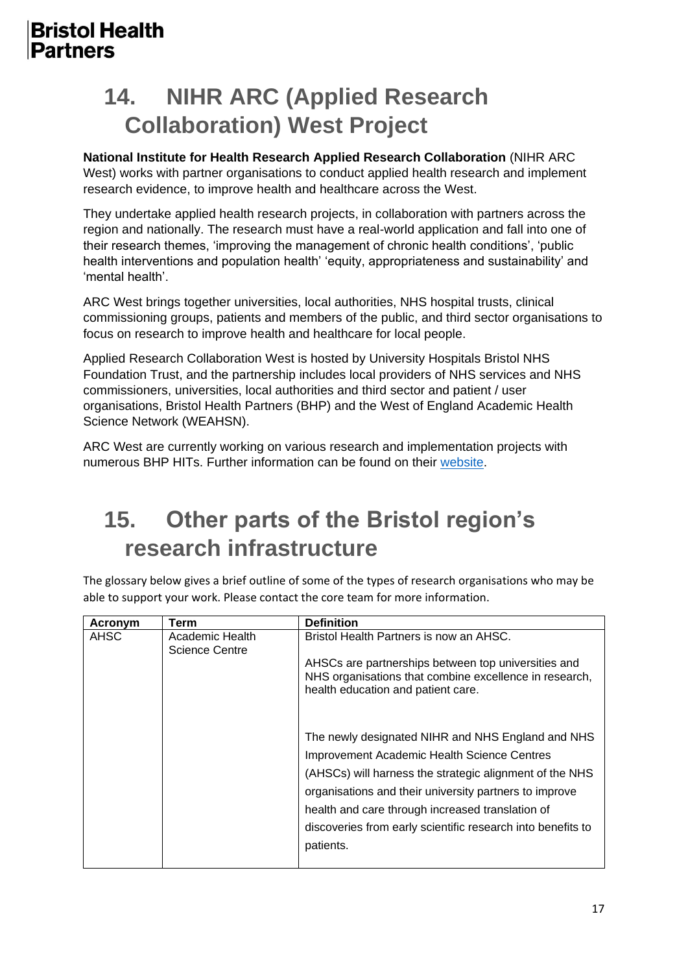# **14. NIHR ARC (Applied Research Collaboration) West Project**

#### **National Institute for Health Research Applied Research Collaboration** (NIHR ARC West) works with partner organisations to conduct applied health research and implement research evidence, to improve health and healthcare across the West.

They undertake applied health research projects, in collaboration with partners across the region and nationally. The research must have a real-world application and fall into one of their research themes, 'improving the management of chronic health conditions', 'public health interventions and population health' 'equity, appropriateness and sustainability' and 'mental health'.

ARC West brings together universities, local authorities, NHS hospital trusts, clinical commissioning groups, patients and members of the public, and third sector organisations to focus on research to improve health and healthcare for local people.

Applied Research Collaboration West is hosted by University Hospitals Bristol NHS Foundation Trust, and the partnership includes local providers of NHS services and NHS commissioners, universities, local authorities and third sector and patient / user organisations, Bristol Health Partners (BHP) and the West of England Academic Health Science Network (WEAHSN).

ARC West are currently working on various research and implementation projects with numerous BHP HITs. Further information can be found on their [website.](https://arc-w.nihr.ac.uk/)

# **15. Other parts of the Bristol region's research infrastructure**

The glossary below gives a brief outline of some of the types of research organisations who may be able to support your work. Please contact the core team for more information.

| Acronym | Term                              | <b>Definition</b>                                                                                                                                                                                                                                                                                                                                     |
|---------|-----------------------------------|-------------------------------------------------------------------------------------------------------------------------------------------------------------------------------------------------------------------------------------------------------------------------------------------------------------------------------------------------------|
| AHSC    | Academic Health<br>Science Centre | Bristol Health Partners is now an AHSC.                                                                                                                                                                                                                                                                                                               |
|         |                                   | AHSCs are partnerships between top universities and<br>NHS organisations that combine excellence in research,<br>health education and patient care.                                                                                                                                                                                                   |
|         |                                   | The newly designated NIHR and NHS England and NHS<br>Improvement Academic Health Science Centres<br>(AHSCs) will harness the strategic alignment of the NHS<br>organisations and their university partners to improve<br>health and care through increased translation of<br>discoveries from early scientific research into benefits to<br>patients. |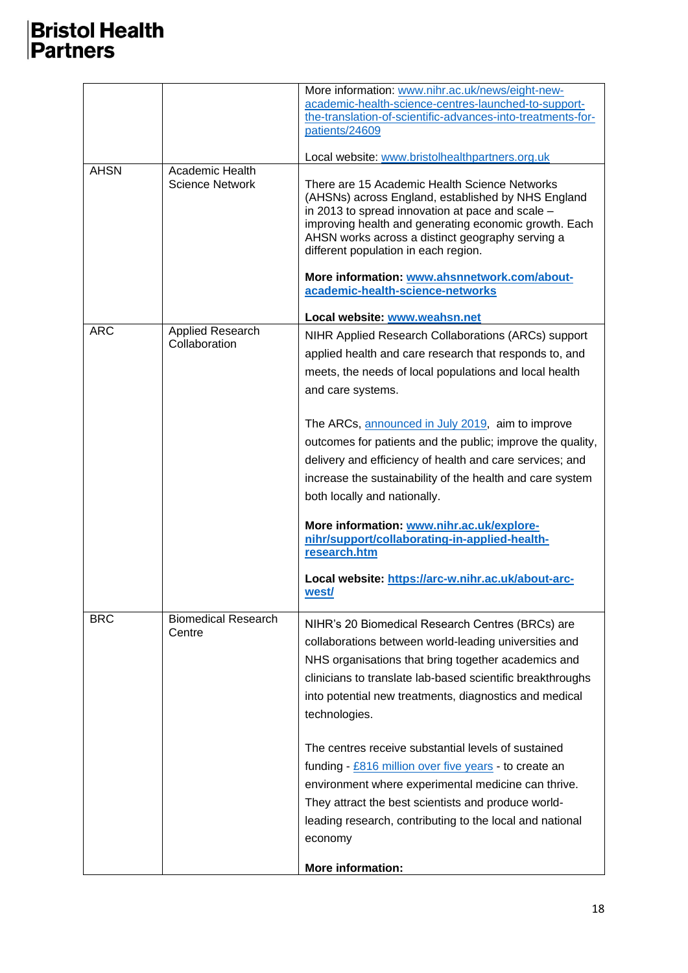|             |                                   | More information: www.nihr.ac.uk/news/eight-new-                                                                                                                                                                                                                                                             |
|-------------|-----------------------------------|--------------------------------------------------------------------------------------------------------------------------------------------------------------------------------------------------------------------------------------------------------------------------------------------------------------|
|             |                                   | academic-health-science-centres-launched-to-support-<br>the-translation-of-scientific-advances-into-treatments-for-<br>patients/24609                                                                                                                                                                        |
|             |                                   |                                                                                                                                                                                                                                                                                                              |
| <b>AHSN</b> | Academic Health                   | Local website: www.bristolhealthpartners.org.uk                                                                                                                                                                                                                                                              |
|             | <b>Science Network</b>            | There are 15 Academic Health Science Networks<br>(AHSNs) across England, established by NHS England<br>in 2013 to spread innovation at pace and scale -<br>improving health and generating economic growth. Each<br>AHSN works across a distinct geography serving a<br>different population in each region. |
|             |                                   | More information: www.ahsnnetwork.com/about-                                                                                                                                                                                                                                                                 |
|             |                                   | academic-health-science-networks                                                                                                                                                                                                                                                                             |
|             |                                   | Local website: www.weahsn.net                                                                                                                                                                                                                                                                                |
| <b>ARC</b>  | Applied Research<br>Collaboration | NIHR Applied Research Collaborations (ARCs) support                                                                                                                                                                                                                                                          |
|             |                                   | applied health and care research that responds to, and                                                                                                                                                                                                                                                       |
|             |                                   | meets, the needs of local populations and local health                                                                                                                                                                                                                                                       |
|             |                                   | and care systems.                                                                                                                                                                                                                                                                                            |
|             |                                   |                                                                                                                                                                                                                                                                                                              |
|             |                                   | The ARCs, announced in July 2019, aim to improve                                                                                                                                                                                                                                                             |
|             |                                   | outcomes for patients and the public; improve the quality,                                                                                                                                                                                                                                                   |
|             |                                   | delivery and efficiency of health and care services; and                                                                                                                                                                                                                                                     |
|             |                                   | increase the sustainability of the health and care system                                                                                                                                                                                                                                                    |
|             |                                   | both locally and nationally.                                                                                                                                                                                                                                                                                 |
|             |                                   | More information: www.nihr.ac.uk/explore-<br>nihr/support/collaborating-in-applied-health-<br>research.htm                                                                                                                                                                                                   |
|             |                                   | Local website: https://arc-w.nihr.ac.uk/about-arc-<br>west/                                                                                                                                                                                                                                                  |
| <b>BRC</b>  | <b>Biomedical Research</b>        | NIHR's 20 Biomedical Research Centres (BRCs) are                                                                                                                                                                                                                                                             |
|             | Centre                            | collaborations between world-leading universities and                                                                                                                                                                                                                                                        |
|             |                                   | NHS organisations that bring together academics and                                                                                                                                                                                                                                                          |
|             |                                   | clinicians to translate lab-based scientific breakthroughs                                                                                                                                                                                                                                                   |
|             |                                   | into potential new treatments, diagnostics and medical                                                                                                                                                                                                                                                       |
|             |                                   | technologies.                                                                                                                                                                                                                                                                                                |
|             |                                   |                                                                                                                                                                                                                                                                                                              |
|             |                                   | The centres receive substantial levels of sustained                                                                                                                                                                                                                                                          |
|             |                                   | funding - £816 million over five years - to create an<br>environment where experimental medicine can thrive.                                                                                                                                                                                                 |
|             |                                   | They attract the best scientists and produce world-                                                                                                                                                                                                                                                          |
|             |                                   | leading research, contributing to the local and national                                                                                                                                                                                                                                                     |
|             |                                   | economy                                                                                                                                                                                                                                                                                                      |
|             |                                   |                                                                                                                                                                                                                                                                                                              |
|             |                                   | <b>More information:</b>                                                                                                                                                                                                                                                                                     |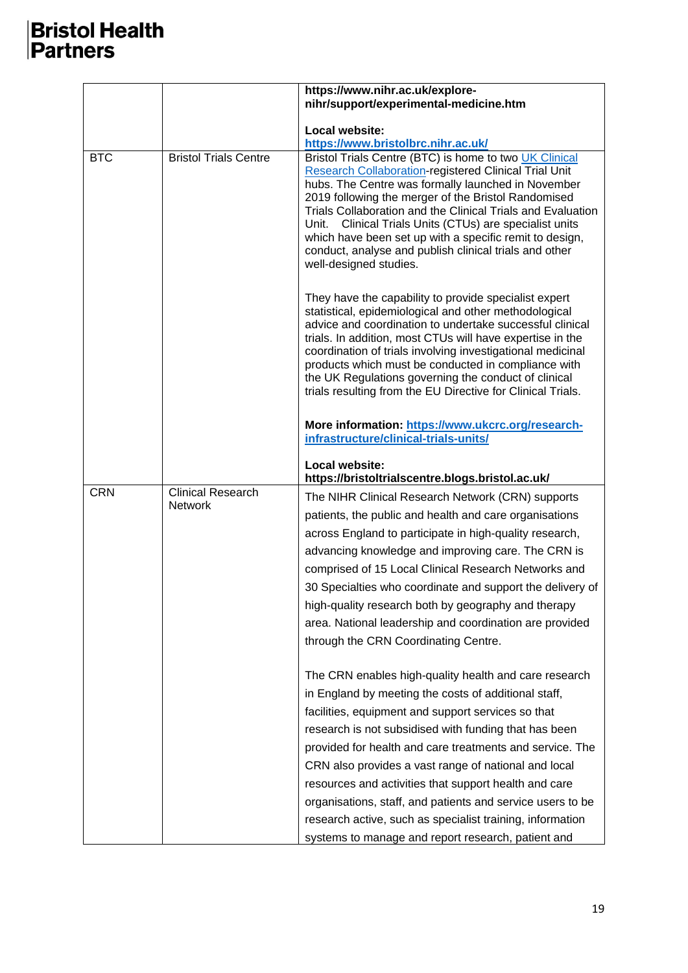|            |                                            | https://www.nihr.ac.uk/explore-<br>nihr/support/experimental-medicine.htm                                                                                                                                                                                                                                                                                                                                                                                                                                                                                                                  |
|------------|--------------------------------------------|--------------------------------------------------------------------------------------------------------------------------------------------------------------------------------------------------------------------------------------------------------------------------------------------------------------------------------------------------------------------------------------------------------------------------------------------------------------------------------------------------------------------------------------------------------------------------------------------|
|            |                                            | Local website:<br>https://www.bristolbrc.nihr.ac.uk/                                                                                                                                                                                                                                                                                                                                                                                                                                                                                                                                       |
| <b>BTC</b> | <b>Bristol Trials Centre</b>               | Bristol Trials Centre (BTC) is home to two UK Clinical<br><b>Research Collaboration-registered Clinical Trial Unit</b><br>hubs. The Centre was formally launched in November<br>2019 following the merger of the Bristol Randomised<br>Trials Collaboration and the Clinical Trials and Evaluation<br>Unit. Clinical Trials Units (CTUs) are specialist units<br>which have been set up with a specific remit to design,<br>conduct, analyse and publish clinical trials and other<br>well-designed studies.                                                                               |
|            |                                            | They have the capability to provide specialist expert<br>statistical, epidemiological and other methodological<br>advice and coordination to undertake successful clinical<br>trials. In addition, most CTUs will have expertise in the<br>coordination of trials involving investigational medicinal<br>products which must be conducted in compliance with<br>the UK Regulations governing the conduct of clinical<br>trials resulting from the EU Directive for Clinical Trials.                                                                                                        |
|            |                                            | More information: https://www.ukcrc.org/research-<br>infrastructure/clinical-trials-units/                                                                                                                                                                                                                                                                                                                                                                                                                                                                                                 |
|            |                                            | Local website:<br>https://bristoltrialscentre.blogs.bristol.ac.uk/                                                                                                                                                                                                                                                                                                                                                                                                                                                                                                                         |
| <b>CRN</b> | <b>Clinical Research</b><br><b>Network</b> | The NIHR Clinical Research Network (CRN) supports<br>patients, the public and health and care organisations<br>across England to participate in high-quality research,<br>advancing knowledge and improving care. The CRN is<br>comprised of 15 Local Clinical Research Networks and<br>30 Specialties who coordinate and support the delivery of<br>high-quality research both by geography and therapy<br>area. National leadership and coordination are provided<br>through the CRN Coordinating Centre.                                                                                |
|            |                                            | The CRN enables high-quality health and care research<br>in England by meeting the costs of additional staff,<br>facilities, equipment and support services so that<br>research is not subsidised with funding that has been<br>provided for health and care treatments and service. The<br>CRN also provides a vast range of national and local<br>resources and activities that support health and care<br>organisations, staff, and patients and service users to be<br>research active, such as specialist training, information<br>systems to manage and report research, patient and |